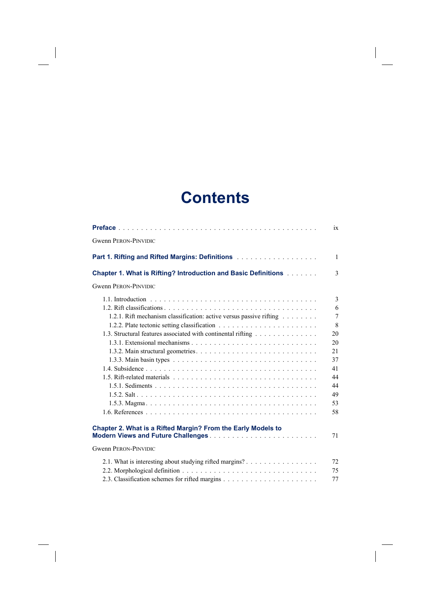## **Contents**

 $\overline{\phantom{a}}$ 

 $\overline{\phantom{a}}$ 

 $\begin{array}{c} \hline \end{array}$ 

|                                                                                                                                                                                                                                                                | ix                                                                                        |
|----------------------------------------------------------------------------------------------------------------------------------------------------------------------------------------------------------------------------------------------------------------|-------------------------------------------------------------------------------------------|
| <b>Gwenn PERON-PINVIDIC</b>                                                                                                                                                                                                                                    |                                                                                           |
|                                                                                                                                                                                                                                                                | $\mathbf{1}$                                                                              |
| <b>Chapter 1. What is Rifting? Introduction and Basic Definitions Adduct</b>                                                                                                                                                                                   | 3                                                                                         |
| <b>Gwenn PERON-PINVIDIC</b>                                                                                                                                                                                                                                    |                                                                                           |
| 1.2.1. Rift mechanism classification: active versus passive rifting<br>1.3. Structural features associated with continental rifting<br>1.3.1. Extensional mechanisms $\ldots$ $\ldots$ $\ldots$ $\ldots$ $\ldots$ $\ldots$ $\ldots$ $\ldots$ $\ldots$ $\ldots$ | 3<br>6<br>$\overline{7}$<br>8<br>20<br>20<br>21<br>37<br>41<br>44<br>44<br>49<br>53<br>58 |
| Chapter 2. What is a Rifted Margin? From the Early Models to                                                                                                                                                                                                   | 71                                                                                        |
| <b>Gwenn PERON-PINVIDIC</b>                                                                                                                                                                                                                                    |                                                                                           |
| 2.1. What is interesting about studying rifted margins?                                                                                                                                                                                                        | 72<br>75<br>77                                                                            |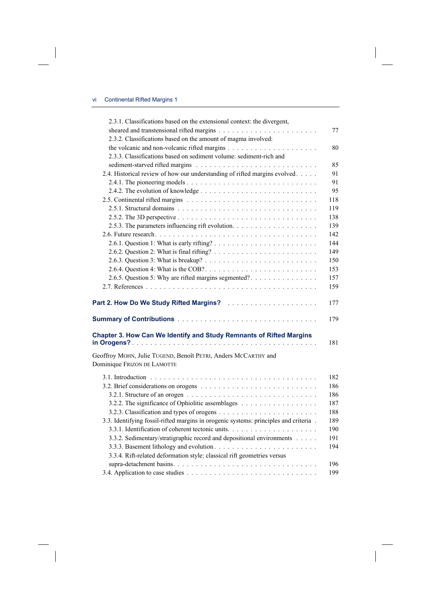$\overline{\phantom{a}}$ 

 $\begin{array}{c} \hline \end{array}$ 

| 2.3.1. Classifications based on the extensional context: the divergent,                                                |     |
|------------------------------------------------------------------------------------------------------------------------|-----|
|                                                                                                                        | 77  |
| 2.3.2. Classifications based on the amount of magma involved:                                                          |     |
|                                                                                                                        | 80  |
| 2.3.3. Classifications based on sediment volume: sediment-rich and                                                     |     |
|                                                                                                                        | 85  |
| 2.4. Historical review of how our understanding of rifted margins evolved.                                             | 91  |
|                                                                                                                        | 91  |
|                                                                                                                        | 95  |
|                                                                                                                        | 118 |
|                                                                                                                        | 119 |
|                                                                                                                        | 138 |
|                                                                                                                        | 139 |
|                                                                                                                        | 142 |
|                                                                                                                        | 144 |
|                                                                                                                        | 149 |
|                                                                                                                        | 150 |
|                                                                                                                        | 153 |
| 2.6.5. Question 5: Why are rifted margins segmented?                                                                   | 157 |
|                                                                                                                        | 159 |
|                                                                                                                        |     |
| Part 2. How Do We Study Rifted Margins? <b>Part 2. How Do We Study Rifted Margins?</b> All Allers Allers Allers Allers | 177 |
|                                                                                                                        | 179 |
| Chapter 3. How Can We Identify and Study Remnants of Rifted Margins                                                    | 181 |
| Geoffroy MOHN, Julie TUGEND, Benoît PETRI, Anders MCCARTHY and                                                         |     |
| Dominique FRIZON DE LAMOTTE                                                                                            |     |
|                                                                                                                        |     |
|                                                                                                                        | 182 |
|                                                                                                                        | 186 |
|                                                                                                                        | 186 |
|                                                                                                                        | 187 |
|                                                                                                                        | 188 |
| 3.3. Identifying fossil-rifted margins in orogenic systems: principles and criteria.                                   | 189 |
|                                                                                                                        | 190 |
| 3.3.2. Sedimentary/stratigraphic record and depositional environments                                                  | 191 |
|                                                                                                                        | 194 |
| 3.3.4. Rift-related deformation style: classical rift geometries versus                                                |     |
|                                                                                                                        | 196 |
|                                                                                                                        | 199 |

 $\overline{\phantom{a}}$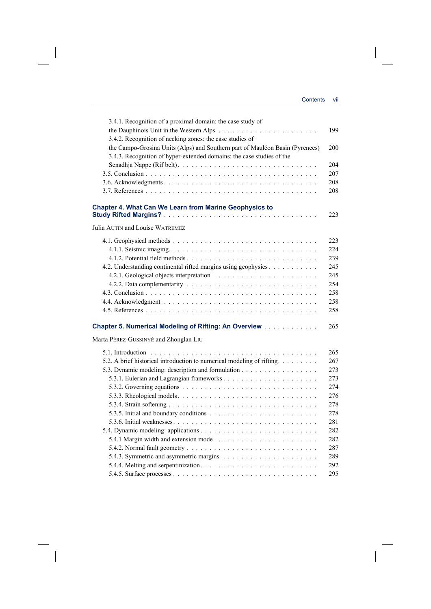$\begin{array}{c} \hline \end{array}$ 

| 3.4.1. Recognition of a proximal domain: the case study of                   |     |
|------------------------------------------------------------------------------|-----|
|                                                                              | 199 |
| 3.4.2. Recognition of necking zones: the case studies of                     |     |
| the Campo-Grosina Units (Alps) and Southern part of Mauléon Basin (Pyrenees) | 200 |
| 3.4.3. Recognition of hyper-extended domains: the case studies of the        |     |
|                                                                              | 204 |
|                                                                              | 207 |
|                                                                              | 208 |
|                                                                              | 208 |
| Chapter 4. What Can We Learn from Marine Geophysics to                       |     |
|                                                                              | 223 |
| Julia AUTIN and Louise WATREMEZ                                              |     |
|                                                                              | 223 |
|                                                                              | 224 |
|                                                                              | 239 |
| 4.2. Understanding continental rifted margins using geophysics               | 245 |
|                                                                              | 245 |
|                                                                              | 254 |
|                                                                              | 258 |
|                                                                              | 258 |
|                                                                              | 258 |
| Chapter 5. Numerical Modeling of Rifting: An Overview                        | 265 |
| Marta PÉREZ-GUSSINYÉ and Zhonglan LIU                                        |     |
|                                                                              | 265 |
| 5.2. A brief historical introduction to numerical modeling of rifting.       | 267 |
| 5.3. Dynamic modeling: description and formulation                           | 273 |
|                                                                              | 273 |
|                                                                              | 274 |
|                                                                              | 276 |
|                                                                              | 278 |
|                                                                              | 278 |
|                                                                              | 281 |
|                                                                              | 282 |
|                                                                              | 282 |
|                                                                              | 287 |
|                                                                              | 289 |
|                                                                              | 292 |
|                                                                              | 295 |
|                                                                              |     |

 $\overline{\phantom{a}}$ 

 $\begin{array}{c} \begin{array}{c} \hline \end{array} \end{array}$